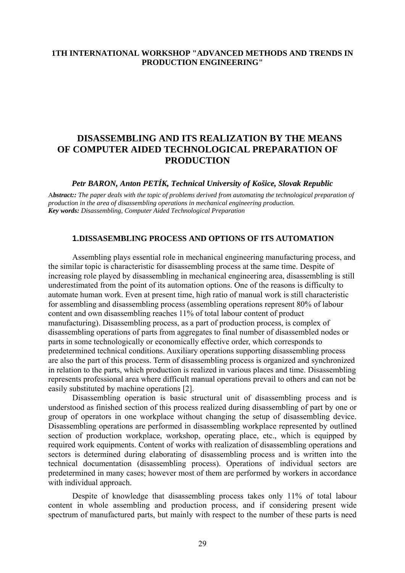## **1TH INTERNATIONAL WORKSHOP "ADVANCED METHODS AND TRENDS IN PRODUCTION ENGINEERING"**

# **DISASSEMBLING AND ITS REALIZATION BY THE MEANS OF COMPUTER AIDED TECHNOLOGICAL PREPARATION OF PRODUCTION**

*Petr BARON, Anton PETÍK, Technical University of Košice, Slovak Republic*

A*bstract:: The paper deals with the topic of problems derived from automating the technological preparation of production in the area of disassembling operations in mechanical engineering production. Key words: Disassembling, Computer Aided Technological Preparation* 

#### **1.DISSASEMBLING PROCESS AND OPTIONS OF ITS AUTOMATION**

 Assembling plays essential role in mechanical engineering manufacturing process, and the similar topic is characteristic for disassembling process at the same time. Despite of increasing role played by disassembling in mechanical engineering area, disassembling is still underestimated from the point of its automation options. One of the reasons is difficulty to automate human work. Even at present time, high ratio of manual work is still characteristic for assembling and disassembling process (assembling operations represent 80% of labour content and own disassembling reaches 11% of total labour content of product manufacturing). Disassembling process, as a part of production process, is complex of disassembling operations of parts from aggregates to final number of disassembled nodes or parts in some technologically or economically effective order, which corresponds to predetermined technical conditions. Auxiliary operations supporting disassembling process are also the part of this process. Term of disassembling process is organized and synchronized in relation to the parts, which production is realized in various places and time. Disassembling represents professional area where difficult manual operations prevail to others and can not be easily substituted by machine operations [2].

 Disassembling operation is basic structural unit of disassembling process and is understood as finished section of this process realized during disassembling of part by one or group of operators in one workplace without changing the setup of disassembling device. Disassembling operations are performed in disassembling workplace represented by outlined section of production workplace, workshop, operating place, etc., which is equipped by required work equipments. Content of works with realization of disassembling operations and sectors is determined during elaborating of disassembling process and is written into the technical documentation (disassembling process). Operations of individual sectors are predetermined in many cases; however most of them are performed by workers in accordance with individual approach.

 Despite of knowledge that disassembling process takes only 11% of total labour content in whole assembling and production process, and if considering present wide spectrum of manufactured parts, but mainly with respect to the number of these parts is need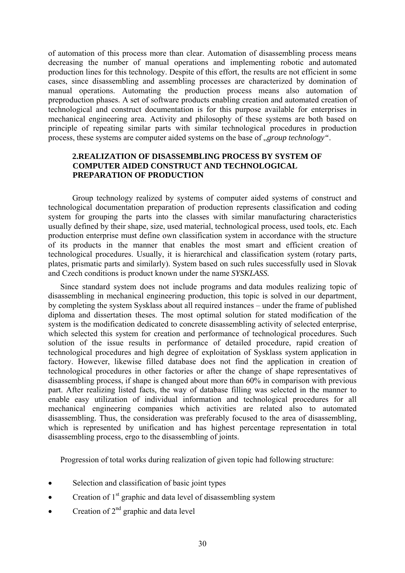of automation of this process more than clear. Automation of disassembling process means decreasing the number of manual operations and implementing robotic and automated production lines for this technology. Despite of this effort, the results are not efficient in some cases, since disassembling and assembling processes are characterized by domination of manual operations. Automating the production process means also automation of preproduction phases. A set of software products enabling creation and automated creation of technological and construct documentation is for this purpose available for enterprises in mechanical engineering area. Activity and philosophy of these systems are both based on principle of repeating similar parts with similar technological procedures in production process, these systems are computer aided systems on the base of *group technology*".

## **2.REALIZATION OF DISASSEMBLING PROCESS BY SYSTEM OF COMPUTER AIDED CONSTRUCT AND TECHNOLOGICAL PREPARATION OF PRODUCTION**

Group technology realized by systems of computer aided systems of construct and technological documentation preparation of production represents classification and coding system for grouping the parts into the classes with similar manufacturing characteristics usually defined by their shape, size, used material, technological process, used tools, etc. Each production enterprise must define own classification system in accordance with the structure of its products in the manner that enables the most smart and efficient creation of technological procedures. Usually, it is hierarchical and classification system (rotary parts, plates, prismatic parts and similarly). System based on such rules successfully used in Slovak and Czech conditions is product known under the name *SYSKLASS.*

Since standard system does not include programs and data modules realizing topic of disassembling in mechanical engineering production, this topic is solved in our department, by completing the system Sysklass about all required instances – under the frame of published diploma and dissertation theses. The most optimal solution for stated modification of the system is the modification dedicated to concrete disassembling activity of selected enterprise, which selected this system for creation and performance of technological procedures. Such solution of the issue results in performance of detailed procedure, rapid creation of technological procedures and high degree of exploitation of Sysklass system application in factory. However, likewise filled database does not find the application in creation of technological procedures in other factories or after the change of shape representatives of disassembling process, if shape is changed about more than 60% in comparison with previous part. After realizing listed facts, the way of database filling was selected in the manner to enable easy utilization of individual information and technological procedures for all mechanical engineering companies which activities are related also to automated disassembling. Thus, the consideration was preferably focused to the area of disassembling, which is represented by unification and has highest percentage representation in total disassembling process, ergo to the disassembling of joints.

Progression of total works during realization of given topic had following structure:

- Selection and classification of basic joint types
- Creation of  $1<sup>st</sup>$  graphic and data level of disassembling system
- Creation of  $2^{nd}$  graphic and data level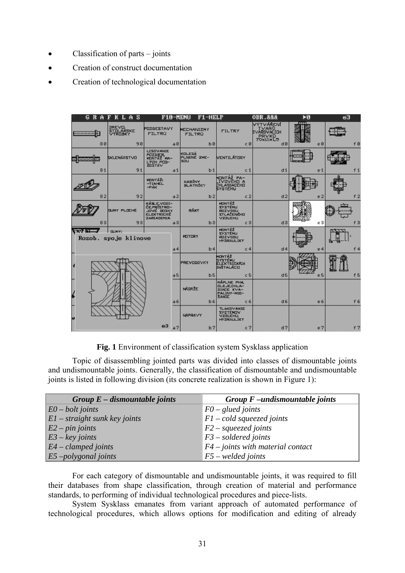- Classification of parts joints
- Creation of construct documentation
- Creation of technological documentation

|                                                                        | <b>GRAFKLAS</b>                             | F10-MENU                                                             |                | $F1$ -HELP                                                  |                                                                                    | <b>OBR.888</b>                                   | ÞО             | e3             |
|------------------------------------------------------------------------|---------------------------------------------|----------------------------------------------------------------------|----------------|-------------------------------------------------------------|------------------------------------------------------------------------------------|--------------------------------------------------|----------------|----------------|
| 88                                                                     | <b>DREVIL</b><br>STOLARSKE<br>VYROBKY<br>90 | <b>PUDSESTAVY</b><br><b>FILTRÚ</b>                                   | a Ø            | <b>MECHANIZMY</b><br><b>FILTRÚ</b><br><b>b</b> <sup>8</sup> | <b>FILTRY</b><br>cB                                                                | VYTVÁŘENÍ<br>TVARD<br>SVARDVACIOH<br>PRVKO<br>dB | $e\theta$      | f Ø            |
|                                                                        | SKLENÁRSTVO                                 | LISOVANIE<br>PÛZDIER<br>MUNTAZ WA-<br><b>LYCH POD-</b>               |                | <b>KOLESÁ</b><br>PLNENÉ ZME-<br>SOU                         | VENTILÁTORY                                                                        |                                                  |                |                |
| 81                                                                     | 91                                          |                                                                      | a <sub>1</sub> | b <sub>1</sub>                                              | c <sub>1</sub>                                                                     | d1                                               | e <sub>1</sub> | f <sub>1</sub> |
|                                                                        |                                             | MINTAŽI<br>$-TIAHEL$<br>$-PAIC$                                      |                | <b>KABINY</b><br><b>BLATNÍKY</b>                            | ONTÁŻ PA-<br>IVOVEHO A<br>CHLADIACEHO                                              |                                                  |                |                |
| 82                                                                     | 92                                          |                                                                      | a <sub>2</sub> | b2                                                          | c2                                                                                 | d2                                               | e <sub>2</sub> | f2             |
|                                                                        | <b>GUNY PLOCHÉ</b>                          | KÁBLE VODI-<br>ČE FRÍSTRO-<br>JOVE DOSKY<br>ELEKTRICKÉ<br>ZARIADENIA |                | RÁMY                                                        | MONTA2<br><b>LIMITZYZ</b><br>ROZVODU<br>STLAČENÓ-IO<br>VZDUCHLI                    |                                                  |                |                |
| 83                                                                     | 93                                          |                                                                      | a3             | b3                                                          | c3                                                                                 | d3                                               | e3             | f3             |
| $\frac{1}{N}$ be $\frac{1}{N}$<br><b>BUNY:</b><br>Rozob. spoje klinove |                                             |                                                                      |                | <b>MOTORY</b>                                               | MONT&2<br><b>LINSTENLI</b><br>ROZVODU<br><b>HYDRAULIKY</b>                         |                                                  |                |                |
|                                                                        |                                             |                                                                      | a <sub>4</sub> | b4                                                          | C <sub>4</sub>                                                                     | d4                                               | e4             |                |
|                                                                        |                                             |                                                                      |                | PREVODOVKY                                                  | <b>HONTÁŽ</b><br>SYSTÉMU<br><b>ELEKTRICKICH</b><br><b>INSTALACII</b>               |                                                  |                |                |
|                                                                        |                                             |                                                                      | a <sub>5</sub> | b5                                                          | c <sub>5</sub>                                                                     | d5                                               | e <sub>5</sub> | f5             |
|                                                                        |                                             |                                                                      | 46             | <b>NÁTRŽE</b><br>b6                                         | NÁPLNE PHK<br><b>DLEJECHLA-</b><br>DIACE KVA-<br>PALINY-MIE-<br><b>SANIE</b><br>c6 | d6                                               | e6             | f 6            |
|                                                                        |                                             |                                                                      |                |                                                             | <b>TLAKOVANIE</b>                                                                  |                                                  |                |                |
|                                                                        |                                             |                                                                      |                | NÁPRAVY                                                     | <b>SYSTEMOV</b><br><b>VZDUCHLL</b><br><b>HYDRAULIKY</b>                            |                                                  |                |                |
|                                                                        |                                             | e3                                                                   | a <sub>7</sub> | b <sub>7</sub>                                              | c7                                                                                 | d7                                               | e7             | f7             |

**Fig. 1** Environment of classification system Sysklass application

Topic of disassembling jointed parts was divided into classes of dismountable joints and undismountable joints. Generally, the classification of dismountable and undismountable joints is listed in following division (its concrete realization is shown in Figure 1):

| Group $E$ – dismountable joints               | Group $F$ –undismountable joints    |
|-----------------------------------------------|-------------------------------------|
| $E0 - bolt$ joints                            | $F0$ – glued joints                 |
| $E1$ – straight sunk key joints               | $F1 - cold\,squeezed\,joints$       |
| $ E2 - pin \textit{joints} $                  | $F2$ – squeezed joints              |
| $\left E3 - \text{key} \text{ joints}\right $ | $F3$ – soldered joints              |
| $E4$ – clamped joints                         | $F4$ – joints with material contact |
| $\left  \text{E5}-\text{polygonal}\right $    | $F5$ – welded joints                |

 For each category of dismountable and undismountable joints, it was required to fill their databases from shape classification, through creation of material and performance standards, to performing of individual technological procedures and piece-lists.

System Sysklass emanates from variant approach of automated performance of technological procedures, which allows options for modification and editing of already